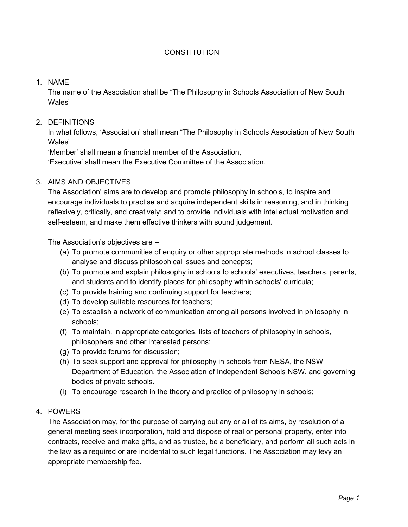### **CONSTITUTION**

### 1. NAME

The name of the Association shall be "The Philosophy in Schools Association of New South Wales"

### 2. DEFINITIONS

In what follows, 'Association' shall mean "The Philosophy in Schools Association of New South Wales"

'Member' shall mean a financial member of the Association, 'Executive' shall mean the Executive Committee of the Association.

#### 3. AIMS AND OBJECTIVES

The Association' aims are to develop and promote philosophy in schools, to inspire and encourage individuals to practise and acquire independent skills in reasoning, and in thinking reflexively, critically, and creatively; and to provide individuals with intellectual motivation and self-esteem, and make them effective thinkers with sound judgement.

The Association's objectives are --

- (a) To promote communities of enquiry or other appropriate methods in school classes to analyse and discuss philosophical issues and concepts;
- (b) To promote and explain philosophy in schools to schools' executives, teachers, parents, and students and to identify places for philosophy within schools' curricula;
- (c) To provide training and continuing support for teachers;
- (d) To develop suitable resources for teachers;
- (e) To establish a network of communication among all persons involved in philosophy in schools;
- (f) To maintain, in appropriate categories, lists of teachers of philosophy in schools, philosophers and other interested persons;
- (g) To provide forums for discussion;
- (h) To seek support and approval for philosophy in schools from NESA, the NSW Department of Education, the Association of Independent Schools NSW, and governing bodies of private schools.
- (i) To encourage research in the theory and practice of philosophy in schools;

#### 4. POWERS

The Association may, for the purpose of carrying out any or all of its aims, by resolution of a general meeting seek incorporation, hold and dispose of real or personal property, enter into contracts, receive and make gifts, and as trustee, be a beneficiary, and perform all such acts in the law as a required or are incidental to such legal functions. The Association may levy an appropriate membership fee.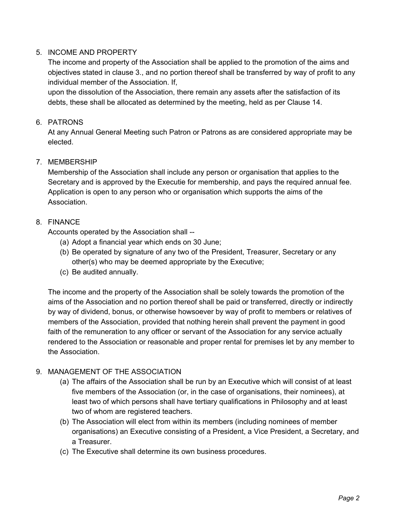# 5. INCOME AND PROPERTY

The income and property of the Association shall be applied to the promotion of the aims and objectives stated in clause 3., and no portion thereof shall be transferred by way of profit to any individual member of the Association. If,

upon the dissolution of the Association, there remain any assets after the satisfaction of its debts, these shall be allocated as determined by the meeting, held as per Clause 14.

## 6. PATRONS

At any Annual General Meeting such Patron or Patrons as are considered appropriate may be elected.

# 7. MEMBERSHIP

Membership of the Association shall include any person or organisation that applies to the Secretary and is approved by the Executie for membership, and pays the required annual fee. Application is open to any person who or organisation which supports the aims of the Association.

### 8. FINANCE

Accounts operated by the Association shall --

- (a) Adopt a financial year which ends on 30 June;
- (b) Be operated by signature of any two of the President, Treasurer, Secretary or any other(s) who may be deemed appropriate by the Executive;
- (c) Be audited annually.

The income and the property of the Association shall be solely towards the promotion of the aims of the Association and no portion thereof shall be paid or transferred, directly or indirectly by way of dividend, bonus, or otherwise howsoever by way of profit to members or relatives of members of the Association, provided that nothing herein shall prevent the payment in good faith of the remuneration to any officer or servant of the Association for any service actually rendered to the Association or reasonable and proper rental for premises let by any member to the Association.

# 9. MANAGEMENT OF THE ASSOCIATION

- (a) The affairs of the Association shall be run by an Executive which will consist of at least five members of the Association (or, in the case of organisations, their nominees), at least two of which persons shall have tertiary qualifications in Philosophy and at least two of whom are registered teachers.
- (b) The Association will elect from within its members (including nominees of member organisations) an Executive consisting of a President, a Vice President, a Secretary, and a Treasurer.
- (c) The Executive shall determine its own business procedures.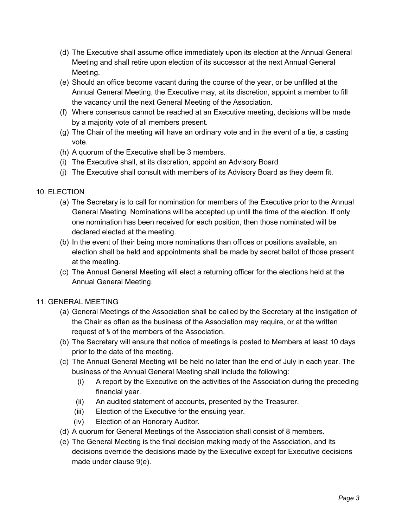- (d) The Executive shall assume office immediately upon its election at the Annual General Meeting and shall retire upon election of its successor at the next Annual General Meeting.
- (e) Should an office become vacant during the course of the year, or be unfilled at the Annual General Meeting, the Executive may, at its discretion, appoint a member to fill the vacancy until the next General Meeting of the Association.
- (f) Where consensus cannot be reached at an Executive meeting, decisions will be made by a majority vote of all members present.
- (g) The Chair of the meeting will have an ordinary vote and in the event of a tie, a casting vote.
- (h) A quorum of the Executive shall be 3 members.
- (i) The Executive shall, at its discretion, appoint an Advisory Board
- (j) The Executive shall consult with members of its Advisory Board as they deem fit.

# 10. ELECTION

- (a) The Secretary is to call for nomination for members of the Executive prior to the Annual General Meeting. Nominations will be accepted up until the time of the election. If only one nomination has been received for each position, then those nominated will be declared elected at the meeting.
- (b) In the event of their being more nominations than offices or positions available, an election shall be held and appointments shall be made by secret ballot of those present at the meeting.
- (c) The Annual General Meeting will elect a returning officer for the elections held at the Annual General Meeting.

# 11. GENERAL MEETING

- (a) General Meetings of the Association shall be called by the Secretary at the instigation of the Chair as often as the business of the Association may require, or at the written request of ⅕ of the members of the Association.
- (b) The Secretary will ensure that notice of meetings is posted to Members at least 10 days prior to the date of the meeting.
- (c) The Annual General Meeting will be held no later than the end of July in each year. The business of the Annual General Meeting shall include the following:
	- (i) A report by the Executive on the activities of the Association during the preceding financial year.
	- (ii) An audited statement of accounts, presented by the Treasurer.
	- (iii) Election of the Executive for the ensuing year.
	- (iv) Election of an Honorary Auditor.
- (d) A quorum for General Meetings of the Association shall consist of 8 members.
- (e) The General Meeting is the final decision making mody of the Association, and its decisions override the decisions made by the Executive except for Executive decisions made under clause 9(e).